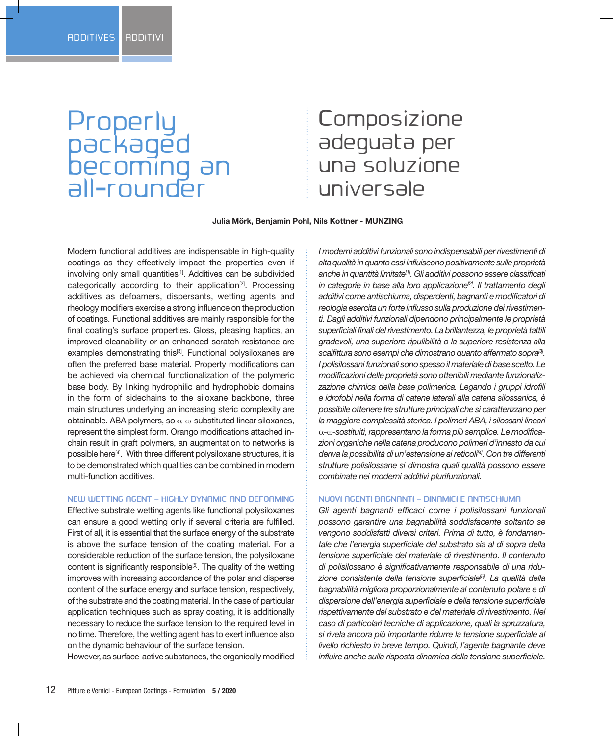# Properly packaged becoming an all-rounder

# **Composizione** adeguata per una soluzione universale

 **Julia Mörk, Benjamin Pohl, Nils Kottner - MUNZING**

Modern functional additives are indispensable in high-quality coatings as they effectively impact the properties even if involving only small quantities<sup>[1]</sup>. Additives can be subdivided categorically according to their application<sup>[2]</sup>. Processing additives as defoamers, dispersants, wetting agents and rheology modifiers exercise a strong influence on the production of coatings. Functional additives are mainly responsible for the final coating's surface properties. Gloss, pleasing haptics, an improved cleanability or an enhanced scratch resistance are examples demonstrating this<sup>[3]</sup>. Functional polysiloxanes are often the preferred base material. Property modifications can be achieved via chemical functionalization of the polymeric base body. By linking hydrophilic and hydrophobic domains in the form of sidechains to the siloxane backbone, three main structures underlying an increasing steric complexity are obtainable. ABA polymers, so α-ω-substituted linear siloxanes, represent the simplest form. Orango modifications attached inchain result in graft polymers, an augmentation to networks is possible here[4]. With three different polysiloxane structures, it is to be demonstrated which qualities can be combined in modern multi-function additives.

### **NEW WETTING AGENT – HIGHLY DYNAMIC AND DEFOAMING**

Effective substrate wetting agents like functional polysiloxanes can ensure a good wetting only if several criteria are fulfilled. First of all, it is essential that the surface energy of the substrate is above the surface tension of the coating material. For a considerable reduction of the surface tension, the polysiloxane content is significantly responsible<sup>[5]</sup>. The quality of the wetting improves with increasing accordance of the polar and disperse content of the surface energy and surface tension, respectively, of the substrate and the coating material. In the case of particular application techniques such as spray coating, it is additionally necessary to reduce the surface tension to the required level in no time. Therefore, the wetting agent has to exert influence also on the dynamic behaviour of the surface tension.

However, as surface-active substances, the organically modified

*I moderni additivi funzionali sono indispensabili per rivestimenti di alta qualità in quanto essi influiscono positivamente sulle proprietà anche in quantità limitate[1] . Gli additivi possono essere classificati in categorie in base alla loro applicazione[2] . Il trattamento degli additivi come antischiuma, disperdenti, bagnanti e modificatori di reologia esercita un forte influsso sulla produzione dei rivestimenti. Dagli additivi funzionali dipendono principalmente le proprietà superficiali finali del rivestimento. La brillantezza, le proprietà tattili gradevoli, una superiore ripulibilità o la superiore resistenza alla scalfittura sono esempi che dimostrano quanto affermato sopra[3] . I polisilossani funzionali sono spesso il materiale di base scelto. Le modificazioni delle proprietà sono ottenibili mediante funzionalizzazione chimica della base polimerica. Legando i gruppi idrofili e idrofobi nella forma di catene laterali alla catena silossanica, è possibile ottenere tre strutture principali che si caratterizzano per la maggiore complessità sterica. I polimeri ABA, i silossani lineari*  α*-*ω*-sostituiti, rappresentano la forma più semplice. Le modificazioni organiche nella catena producono polimeri d'innesto da cui deriva la possibilità di un'estensione ai reticoli[4] . Con tre differenti strutture polisilossane si dimostra quali qualità possono essere combinate nei moderni additivi plurifunzionali.*

#### **NUOVI AGENTI BAGNANTI – DINAMICI E ANTISCHIUMA**

*Gli agenti bagnanti efficaci come i polisilossani funzionali possono garantire una bagnabilità soddisfacente soltanto se vengono soddisfatti diversi criteri. Prima di tutto, è fondamentale che l'energia superficiale del substrato sia al di sopra della tensione superficiale del materiale di rivestimento. Il contenuto di polisilossano è significativamente responsabile di una riduzione consistente della tensione superficiale[5] . La qualità della bagnabilità migliora proporzionalmente al contenuto polare e di dispersione dell'energia superficiale e della tensione superficiale rispettivamente del substrato e del materiale di rivestimento. Nel caso di particolari tecniche di applicazione, quali la spruzzatura, si rivela ancora più importante ridurre la tensione superficiale al livello richiesto in breve tempo. Quindi, l'agente bagnante deve influire anche sulla risposta dinamica della tensione superficiale.*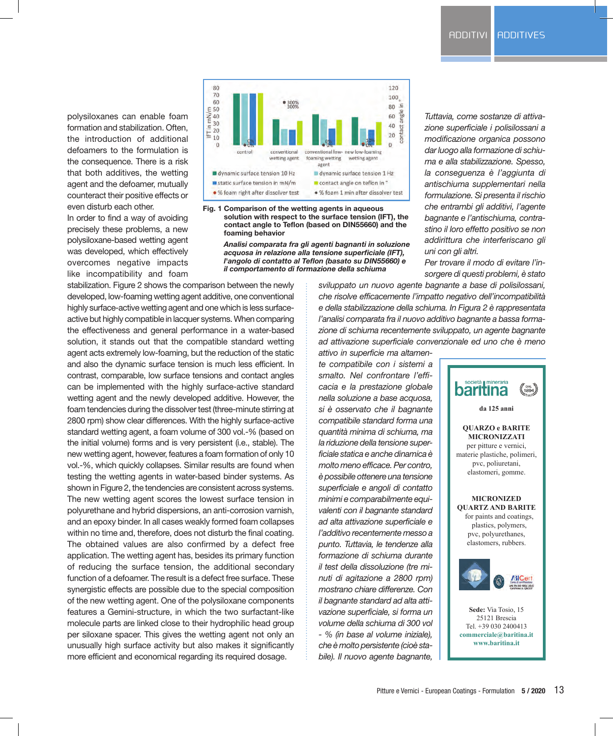polysiloxanes can enable foam formation and stabilization. Often, the introduction of additional defoamers to the formulation is the consequence. There is a risk that both additives, the wetting agent and the defoamer, mutually counteract their positive effects or even disturb each other.

In order to find a way of avoiding precisely these problems, a new polysiloxane-based wetting agent was developed, which effectively overcomes negative impacts like incompatibility and foam





*Analisi comparata fra gli agenti bagnanti in soluzione acquosa in relazione alla tensione superficiale (IFT), l'angolo di contatto al Teflon (basato su DIN55660) e il comportamento di formazione della schiuma*

*Tuttavia, come sostanze di attivazione superficiale i polisilossani a modificazione organica possono dar luogo alla formazione di schiuma e alla stabilizzazione. Spesso, la conseguenza è l'aggiunta di antischiuma supplementari nella formulazione. Si presenta il rischio che entrambi gli additivi, l'agente bagnante e l'antischiuma, contrastino il loro effetto positivo se non addirittura che interferiscano gli uni con gli altri.*

*Per trovare il modo di evitare l'insorgere di questi problemi, è stato*

stabilization. Figure 2 shows the comparison between the newly developed, low-foaming wetting agent additive, one conventional highly surface-active wetting agent and one which is less surfaceactive but highly compatible in lacquer systems. When comparing the effectiveness and general performance in a water-based solution, it stands out that the compatible standard wetting agent acts extremely low-foaming, but the reduction of the static and also the dynamic surface tension is much less efficient. In contrast, comparable, low surface tensions and contact angles can be implemented with the highly surface-active standard wetting agent and the newly developed additive. However, the foam tendencies during the dissolver test (three-minute stirring at 2800 rpm) show clear differences. With the highly surface-active standard wetting agent, a foam volume of 300 vol.-% (based on the initial volume) forms and is very persistent (i.e., stable). The new wetting agent, however, features a foam formation of only 10 vol.-%, which quickly collapses. Similar results are found when testing the wetting agents in water-based binder systems. As shown in Figure 2, the tendencies are consistent across systems. The new wetting agent scores the lowest surface tension in polyurethane and hybrid dispersions, an anti-corrosion varnish, and an epoxy binder. In all cases weakly formed foam collapses within no time and, therefore, does not disturb the final coating. The obtained values are also confirmed by a defect free application. The wetting agent has, besides its primary function of reducing the surface tension, the additional secondary function of a defoamer. The result is a defect free surface. These synergistic effects are possible due to the special composition of the new wetting agent. One of the polysiloxane components features a Gemini-structure, in which the two surfactant-like molecule parts are linked close to their hydrophilic head group per siloxane spacer. This gives the wetting agent not only an unusually high surface activity but also makes it significantly more efficient and economical regarding its required dosage.

*sviluppato un nuovo agente bagnante a base di polisilossani, che risolve efficacemente l'impatto negativo dell'incompatibilità e della stabilizzazione della schiuma. In Figura 2 è rappresentata l'analisi comparata fra il nuovo additivo bagnante a bassa formazione di schiuma recentemente sviluppato, un agente bagnante ad attivazione superficiale convenzionale ed uno che è meno*

*attivo in superficie ma altamente compatibile con i sistemi a smalto. Nel confrontare l'efficacia e la prestazione globale nella soluzione a base acquosa, si è osservato che il bagnante compatibile standard forma una quantità minima di schiuma, ma la riduzione della tensione superficiale statica e anche dinamica è molto meno efficace. Per contro, è possibile ottenere una tensione superficiale e angoli di contatto minimi e comparabilmente equivalenti con il bagnante standard ad alta attivazione superficiale e l'additivo recentemente messo a punto. Tuttavia, le tendenze alla formazione di schiuma durante il test della dissoluzione (tre minuti di agitazione a 2800 rpm) mostrano chiare differenze. Con il bagnante standard ad alta attivazione superficiale, si forma un volume della schiuma di 300 vol - % (in base al volume iniziale), che è molto persistente (cioè stabile). Il nuovo agente bagnante,* 

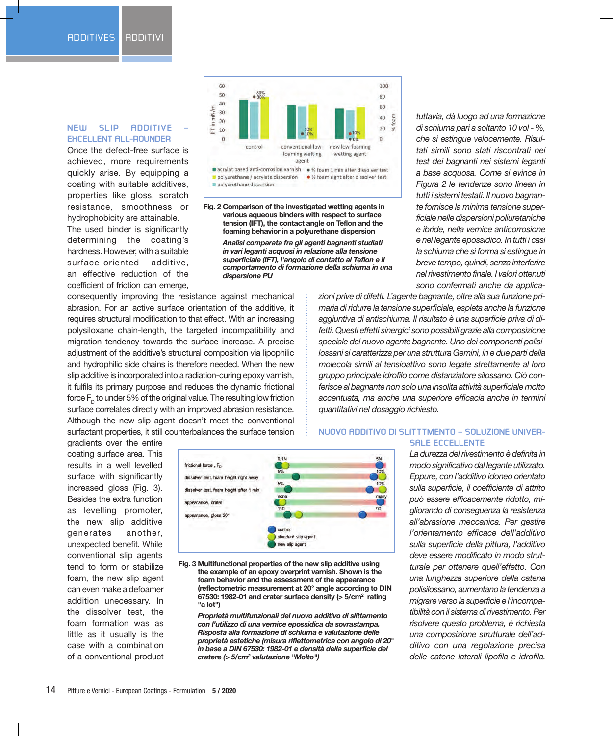# **NEW SLIP ADDITIVE – EXCELLENT ALL-ROUNDER**

Once the defect-free surface is achieved, more requirements quickly arise. By equipping a coating with suitable additives, properties like gloss, scratch resistance, smoothness or hydrophobicity are attainable. The used binder is significantly determining the coating's hardness. However, with a suitable surface-oriented additive, an effective reduction of the coefficient of friction can emerge,



**Fig. 2 Comparison of the investigated wetting agents in various aqueous binders with respect to surface tension (IFT), the contact angle on Teflon and the foaming behavior in a polyurethane dispersion**

> *Analisi comparata fra gli agenti bagnanti studiati in vari leganti acquosi in relazione alla tensione superficiale (IFT), l'angolo di contatto al Teflon e il comportamento di formazione della schiuma in una dispersione PU*

consequently improving the resistance against mechanical abrasion. For an active surface orientation of the additive, it requires structural modification to that effect. With an increasing polysiloxane chain-length, the targeted incompatibility and migration tendency towards the surface increase. A precise adjustment of the additive's structural composition via lipophilic and hydrophilic side chains is therefore needed. When the new slip additive is incorporated into a radiation-curing epoxy varnish, it fulfils its primary purpose and reduces the dynamic frictional force  $F<sub>n</sub>$  to under 5% of the original value. The resulting low friction surface correlates directly with an improved abrasion resistance. Although the new slip agent doesn't meet the conventional surfactant properties, it still counterbalances the surface tension

*tuttavia, dà luogo ad una formazione di schiuma pari a soltanto 10 vol - %, che si estingue velocemente. Risultati simili sono stati riscontrati nei test dei bagnanti nei sistemi leganti a base acquosa. Come si evince in Figura 2 le tendenze sono lineari in tutti i sistemi testati. Il nuovo bagnante fornisce la minima tensione superficiale nelle dispersioni poliuretaniche e ibride, nella vernice anticorrosione e nel legante epossidico. In tutti i casi la schiuma che si forma si estingue in breve tempo, quindi, senza interferire nel rivestimento finale. I valori ottenuti sono confermati anche da applica-*

*zioni prive di difetti. L'agente bagnante, oltre alla sua funzione primaria di ridurre la tensione superficiale, espleta anche la funzione aggiuntiva di antischiuma. Il risultato è una superficie priva di difetti. Questi effetti sinergici sono possibili grazie alla composizione speciale del nuovo agente bagnante. Uno dei componenti polisilossani si caratterizza per una struttura Gemini, in e due parti della molecola simili al tensioattivo sono legate strettamente al loro gruppo principale idrofilo come distanziatore silossano. Ciò conferisce al bagnante non solo una insolita attività superficiale molto accentuata, ma anche una superiore efficacia anche in termini quantitativi nel dosaggio richiesto.* 

gradients over the entire coating surface area. This results in a well levelled surface with significantly increased gloss (Fig. 3). Besides the extra function as levelling promoter, the new slip additive generates another, unexpected benefit. While conventional slip agents tend to form or stabilize foam, the new slip agent can even make a defoamer addition unecessary. In the dissolver test, the foam formation was as little as it usually is the case with a combination of a conventional product



**Fig. 3 Multifunctional properties of the new slip additive using the example of an epoxy overprint varnish. Shown is the foam behavior and the assessment of the appearance (reflectometric measurement at 20° angle according to DIN 67530: 1982-01 and crater surface density (> 5/cm2 rating "a lot")**

*Proprietà multifunzionali del nuovo additivo di slittamento con l'utilizzo di una vernice epossidica da sovrastampa. Risposta alla formazione di schiuma e valutazione delle proprietà estetiche (misura riflettometrica con angolo di 20° in base a DIN 67530: 1982-01 e densità della superficie del cratere (> 5/cm2 valutazione "Molto")*

**NUOVO ADDITIVO DI SLITTTMENTO – SOLUZIONE UNIVER-SALE ECCELLENTE**

> *La durezza del rivestimento è definita in modo significativo dal legante utilizzato. Eppure, con l'additivo idoneo orientato sulla superficie, il coefficiente di attrito può essere efficacemente ridotto, migliorando di conseguenza la resistenza all'abrasione meccanica. Per gestire l'orientamento efficace dell'additivo sulla superficie della pittura, l'additivo deve essere modificato in modo strutturale per ottenere quell'effetto. Con una lunghezza superiore della catena polisilossano, aumentano la tendenza a migrare verso la superficie e l'incompatibilità con il sistema di rivestimento. Per risolvere questo problema, è richiesta una composizione strutturale dell'additivo con una regolazione precisa delle catene laterali lipofila e idrofila.*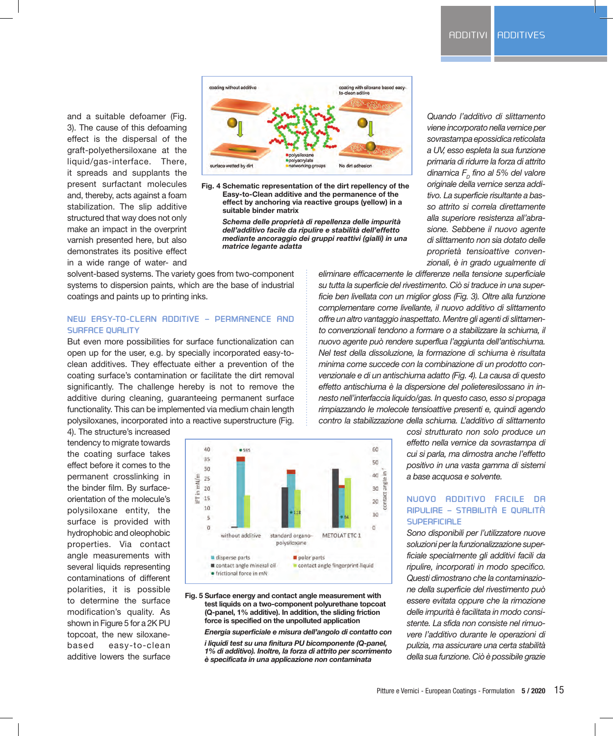and a suitable defoamer (Fig. 3). The cause of this defoaming effect is the dispersal of the graft-polyethersiloxane at the liquid/gas-interface. There, it spreads and supplants the present surfactant molecules and, thereby, acts against a foam stabilization. The slip additive structured that way does not only make an impact in the overprint varnish presented here, but also demonstrates its positive effect in a wide range of water- and



**Fig. 4 Schematic representation of the dirt repellency of the Easy-to-Clean additive and the permanence of the effect by anchoring via reactive groups (yellow) in a suitable binder matrix** 

*Schema delle proprietà di repellenza delle impurità dell'additivo facile da ripulire e stabilità dell'effetto mediante ancoraggio dei gruppi reattivi (gialli) in una matrice legante adatta*

solvent-based systems. The variety goes from two-component systems to dispersion paints, which are the base of industrial coatings and paints up to printing inks.

## **NEW EASY-TO-CLEAN ADDITIVE – PERMANENCE AND SURFACE QUALITY**

But even more possibilities for surface functionalization can open up for the user, e.g. by specially incorporated easy-toclean additives. They effectuate either a prevention of the coating surface's contamination or facilitate the dirt removal significantly. The challenge hereby is not to remove the additive during cleaning, guaranteeing permanent surface functionality. This can be implemented via medium chain length polysiloxanes, incorporated into a reactive superstructure (Fig.

4). The structure's increased tendency to migrate towards the coating surface takes effect before it comes to the permanent crosslinking in the binder film. By surfaceorientation of the molecule's polysiloxane entity, the surface is provided with hydrophobic and oleophobic properties. Via contact angle measurements with several liquids representing contaminations of different polarities, it is possible to determine the surface modification's quality. As shown in Figure 5 for a 2K PU topcoat, the new siloxanebased easy-to-clean additive lowers the surface



#### **Fig. 5 Surface energy and contact angle measurement with test liquids on a two-component polyurethane topcoat (Q-panel, 1% additive). In addition, the sliding friction force is specified on the unpolluted application**

#### *Energia superficiale e misura dell'angolo di contatto con*

*i liquidi test su una finitura PU bicomponente (Q-panel, 1% di additivo). Inoltre, la forza di attrito per scorrimento è specificata in una applicazione non contaminata*

*Quando l'additivo di slittamento viene incorporato nella vernice per sovrastampa epossidica reticolata a UV, esso espleta la sua funzione primaria di ridurre la forza di attrito dinamica*  $F<sub>p</sub>$  fino al 5% del valore *originale della vernice senza additivo. La superficie risultante a basso attrito si correla direttamente alla superiore resistenza all'abrasione. Sebbene il nuovo agente di slittamento non sia dotato delle proprietà tensioattive convenzionali, è in grado ugualmente di* 

*eliminare efficacemente le differenze nella tensione superficiale su tutta la superficie del rivestimento. Ciò si traduce in una superficie ben livellata con un miglior gloss (Fig. 3). Oltre alla funzione complementare come livellante, il nuovo additivo di slittamento offre un altro vantaggio inaspettato. Mentre gli agenti di slittamento convenzionali tendono a formare o a stabilizzare la schiuma, il nuovo agente può rendere superflua l'aggiunta dell'antischiuma. Nel test della dissoluzione, la formazione di schiuma è risultata minima come succede con la combinazione di un prodotto convenzionale e di un antischiuma adatto (Fig. 4). La causa di questo effetto antischiuma è la dispersione del polieteresilossano in innesto nell'interfaccia liquido/gas. In questo caso, esso si propaga rimpiazzando le molecole tensioattive presenti e, quindi agendo contro la stabilizzazione della schiuma. L'additivo di slittamento* 

> *così strutturato non solo produce un effetto nella vernice da sovrastampa di cui si parla, ma dimostra anche l'effetto positivo in una vasta gamma di sistemi a base acquosa e solvente.*

## **NUOVO ADDITIVO FACILE DA RIPULIRE – STABILITÀ E QUALITÀ SUPERFICIALE**

*Sono disponibili per l'utilizzatore nuove soluzioni per la funzionalizzazione superficiale specialmente gli additivi facili da ripulire, incorporati in modo specifico. Questi dimostrano che la contaminazione della superficie del rivestimento può essere evitata oppure che la rimozione delle impurità è facilitata in modo consistente. La sfida non consiste nel rimuovere l'additivo durante le operazioni di pulizia, ma assicurare una certa stabilità della sua funzione. Ciò è possibile grazie*